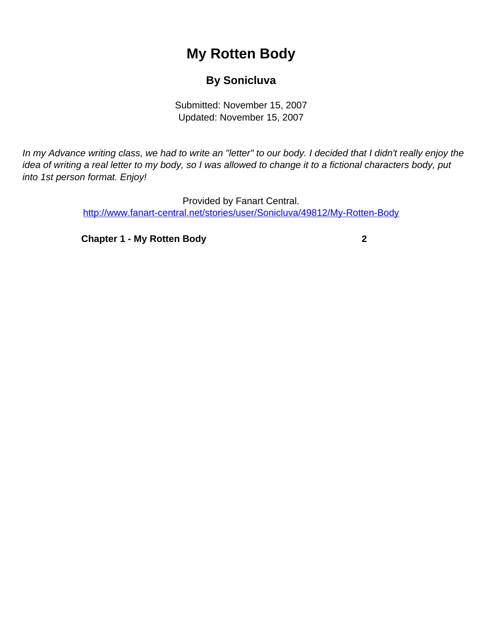## **My Rotten Body**

## **By Sonicluva**

Submitted: November 15, 2007 Updated: November 15, 2007

<span id="page-0-0"></span>In my Advance writing class, we had to write an "letter" to our body. I decided that I didn't really enjoy the idea of writing a real letter to my body, so I was allowed to change it to a fictional characters body, put into 1st person format. Enjoy!

> Provided by Fanart Central. [http://www.fanart-central.net/stories/user/Sonicluva/49812/My-Rotten-Body](#page-0-0)

**[Chapter 1 - My Rotten Body](#page-1-0) [2](#page-1-0)**